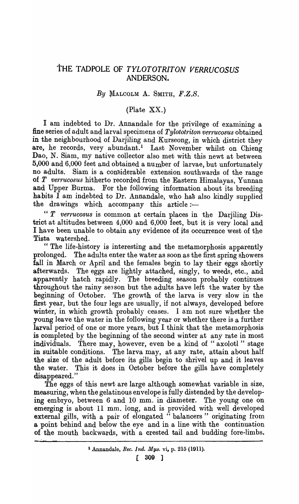## tHE TADPOLE OF *TYLOTOTRITON VERRUCOSUS*  ANDERSON.

## *By* MALCOLM A. SMITH, *F.Z.S.*

## (Plate XX.)

I am indebted to Dr. Annandale for the privilege of examining a fine series of adult and larval specimens of *Tylototriton verrucosus* obtained in the neighbourhood of Darjiling and Kurseong, in which district they are, he records, very abundant.<sup>1</sup> Last November whilst on Chieng Dao, N. Siam, my native collector also met with this newt at between 5,000 and 6,000 feet and obtained a number of larvae, but unfortunately no adults. Siam is a considerable extension southwards of the range of *T verrucosus* hitherto recorded from the Eastern Himalayas, Yunnan and Upper Burma. For the following information about its breeding habits I am indebted to Dr. Annandale, who has also kindly supplied the drawings which accompany this article:-

" T verrucosus is common at certain places in the Darjiling District at altitudes between 4,000 and 6,000 feet, but it is very local and I have been unable to obtain any evidence of its occurrence west of the Tista watershed.

" The life-history is interesting and the metamorphosis apparently prolonged. The adults enter the water as soon as the first spring showers fall in March or April and the females begin to lay their eggs shortly afterwards. The eggs are lightly attached, singly, to weeds, etc., and apparently hatch rapidly. The breeding season probably continues throughout the rainy sesson but the adults have left the water by the beginning of October. The growth of the larva is very slow in the first year, but the four legs are usually, if not always, developed before winter, in which growth probably ceases. I am not sure whether the young leave the water in the following year or whether there is a further larval period of one or more years, but I think that the metamorphosis is completed by the beginning of the second winter at any rate in most individuals. There may, however, even be a kind of "axolotl" stage in suitable conditions. The larva may, at any rate, attain about half the size of the adult before its gills begin to shrivel up and it leaves the water. This it does in October before the gills have completely disappeared."

The eggs of this newt are large although somewhat variable in size, measuring, when the gelatinous envelope is fully distended by the developing embryo, between 6 and 10 mm. in diameter. The young one on emerging is about 11 mm. long, and is provided with well developed external gills, with a pair of elongated "balancers" originating from a point behind and below the eye and in a line with the continuation of the mouth backwards, with a crested tail and budding fore-limbs.